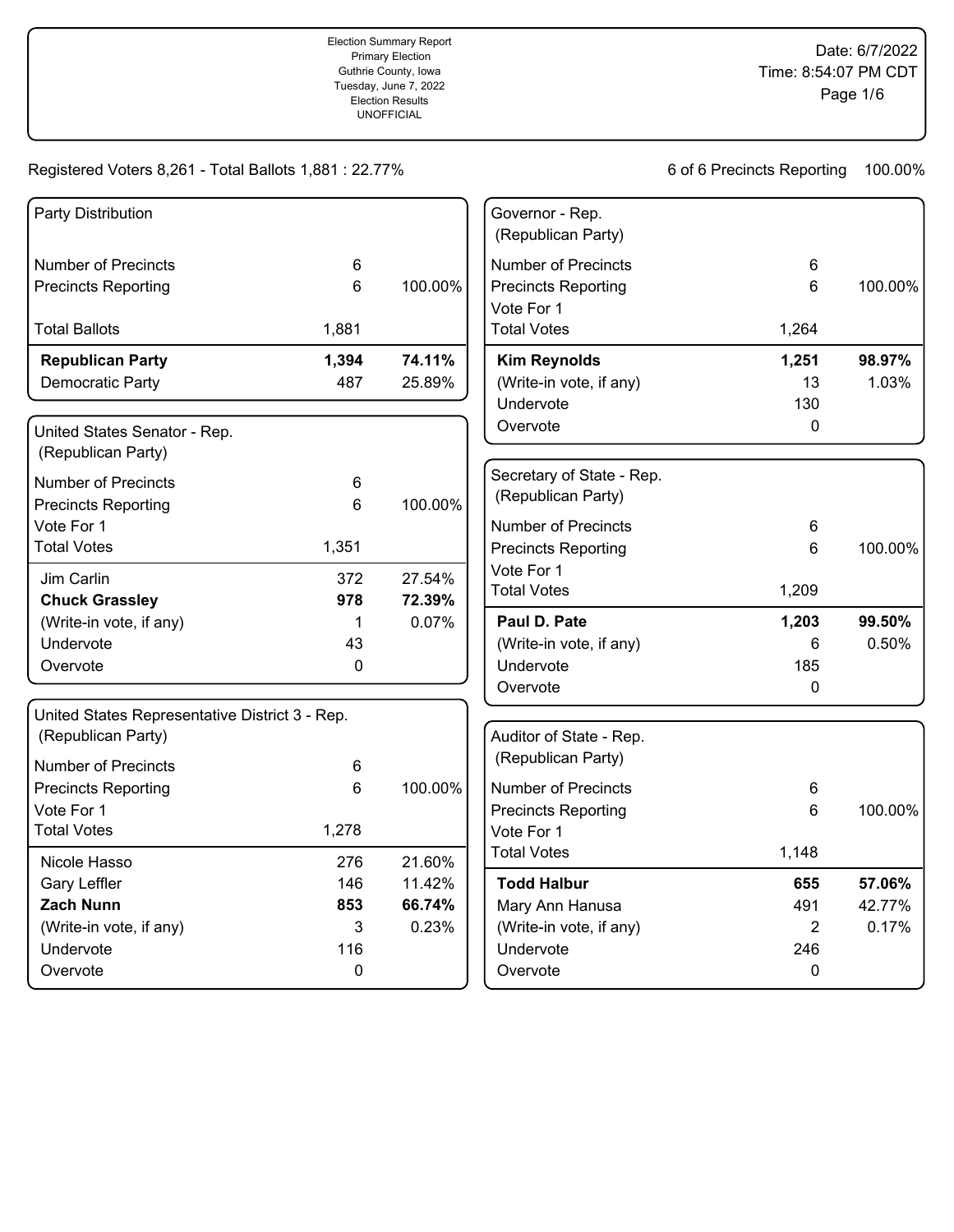| Party Distribution                             |       |                 | Governor - Rep.<br>(Republican Party) |                |         |
|------------------------------------------------|-------|-----------------|---------------------------------------|----------------|---------|
| <b>Number of Precincts</b>                     | 6     |                 | <b>Number of Precincts</b>            | 6              |         |
| <b>Precincts Reporting</b>                     | 6     | 100.00%         | <b>Precincts Reporting</b>            | 6              | 100.00% |
|                                                |       |                 | Vote For 1                            |                |         |
| <b>Total Ballots</b>                           | 1,881 |                 | <b>Total Votes</b>                    | 1,264          |         |
| <b>Republican Party</b>                        | 1,394 | 74.11%          | <b>Kim Reynolds</b>                   | 1,251          | 98.97%  |
| Democratic Party                               | 487   | 25.89%          | (Write-in vote, if any)               | 13             | 1.03%   |
|                                                |       |                 | Undervote                             | 130            |         |
| United States Senator - Rep.                   |       |                 | Overvote                              | $\mathbf 0$    |         |
| (Republican Party)                             |       |                 |                                       |                |         |
| <b>Number of Precincts</b>                     | 6     |                 | Secretary of State - Rep.             |                |         |
| <b>Precincts Reporting</b>                     | 6     | 100.00%         | (Republican Party)                    |                |         |
| Vote For 1                                     |       |                 | <b>Number of Precincts</b>            | 6              |         |
| <b>Total Votes</b>                             | 1,351 |                 | <b>Precincts Reporting</b>            | 6              | 100.00% |
|                                                |       |                 | Vote For 1                            |                |         |
| Jim Carlin                                     | 372   | 27.54%          | <b>Total Votes</b>                    | 1,209          |         |
| <b>Chuck Grassley</b>                          | 978   | 72.39%<br>0.07% | Paul D. Pate                          | 1,203          | 99.50%  |
| (Write-in vote, if any)<br>Undervote           | 1     |                 |                                       | 6              | 0.50%   |
|                                                | 43    |                 | (Write-in vote, if any)               |                |         |
| Overvote                                       | 0     |                 | Undervote                             | 185<br>0       |         |
|                                                |       |                 | Overvote                              |                |         |
| United States Representative District 3 - Rep. |       |                 |                                       |                |         |
| (Republican Party)                             |       |                 | Auditor of State - Rep.               |                |         |
| <b>Number of Precincts</b>                     | 6     |                 | (Republican Party)                    |                |         |
| <b>Precincts Reporting</b>                     | 6     | 100.00%         | <b>Number of Precincts</b>            | 6              |         |
| Vote For 1                                     |       |                 | <b>Precincts Reporting</b>            | 6              | 100.00% |
| <b>Total Votes</b>                             | 1,278 |                 | Vote For 1                            |                |         |
| Nicole Hasso                                   | 276   | 21.60%          | <b>Total Votes</b>                    | 1,148          |         |
| Gary Leffler                                   | 146   | 11.42%          | <b>Todd Halbur</b>                    | 655            | 57.06%  |
| Zach Nunn                                      | 853   | 66.74%          | Mary Ann Hanusa                       | 491            | 42.77%  |
| (Write-in vote, if any)                        | 3     | 0.23%           | (Write-in vote, if any)               | $\overline{2}$ | 0.17%   |
| Undervote                                      | 116   |                 | Undervote                             | 246            |         |
| Overvote                                       | 0     |                 | Overvote                              | 0              |         |
|                                                |       |                 |                                       |                |         |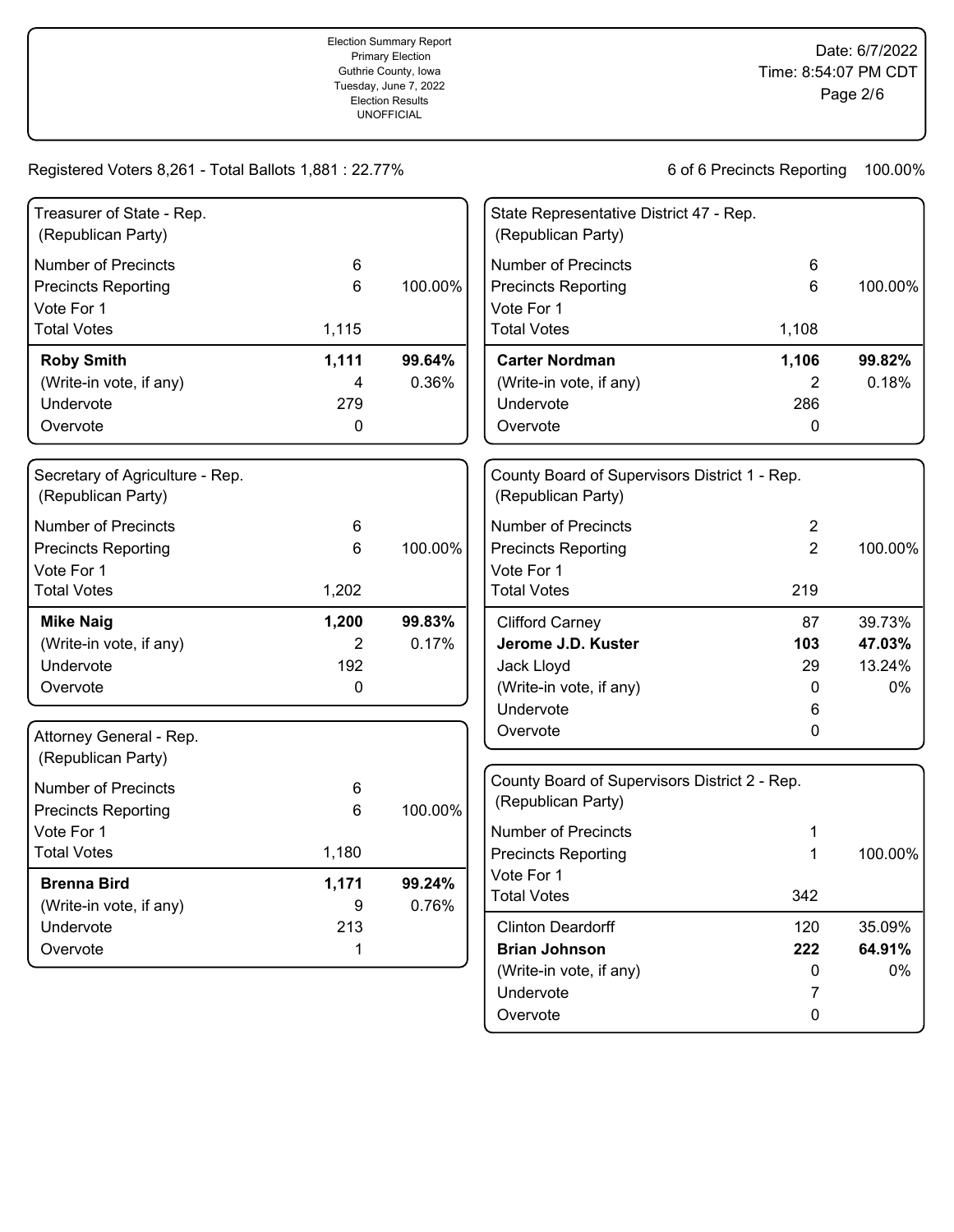| Treasurer of State - Rep.<br>(Republican Party)       |       |         | State Representative District 47 - Rep.<br>(Republican Party)       |                |         |
|-------------------------------------------------------|-------|---------|---------------------------------------------------------------------|----------------|---------|
| <b>Number of Precincts</b>                            | 6     |         | <b>Number of Precincts</b>                                          | 6              |         |
| <b>Precincts Reporting</b>                            | 6     | 100.00% | <b>Precincts Reporting</b>                                          | 6              | 100.00% |
| Vote For 1                                            |       |         | Vote For 1                                                          |                |         |
| <b>Total Votes</b>                                    | 1,115 |         | <b>Total Votes</b>                                                  | 1,108          |         |
| <b>Roby Smith</b>                                     | 1,111 | 99.64%  | <b>Carter Nordman</b>                                               | 1,106          | 99.82%  |
| (Write-in vote, if any)                               | 4     | 0.36%   | (Write-in vote, if any)                                             | 2              | 0.18%   |
| Undervote                                             | 279   |         | Undervote                                                           | 286            |         |
| Overvote                                              | 0     |         | Overvote                                                            | 0              |         |
| Secretary of Agriculture - Rep.<br>(Republican Party) |       |         | County Board of Supervisors District 1 - Rep.<br>(Republican Party) |                |         |
| <b>Number of Precincts</b>                            | 6     |         | <b>Number of Precincts</b>                                          | 2              |         |
| <b>Precincts Reporting</b>                            | 6     | 100.00% | <b>Precincts Reporting</b>                                          | $\overline{2}$ | 100.00% |
| Vote For 1                                            |       |         | Vote For 1                                                          |                |         |
| <b>Total Votes</b>                                    | 1,202 |         | <b>Total Votes</b>                                                  | 219            |         |
| <b>Mike Naig</b>                                      | 1,200 | 99.83%  | <b>Clifford Carney</b>                                              | 87             | 39.73%  |
| (Write-in vote, if any)                               | 2     | 0.17%   | Jerome J.D. Kuster                                                  | 103            | 47.03%  |
| Undervote                                             | 192   |         | Jack Lloyd                                                          | 29             | 13.24%  |
| Overvote                                              | 0     |         | (Write-in vote, if any)                                             | 0              | 0%      |
|                                                       |       |         | Undervote                                                           | 6              |         |
| Attorney General - Rep.<br>(Republican Party)         |       |         | Overvote                                                            | 0              |         |
| <b>Number of Precincts</b>                            | 6     |         | County Board of Supervisors District 2 - Rep.                       |                |         |
| <b>Precincts Reporting</b>                            | 6     | 100.00% | (Republican Party)                                                  |                |         |
| Vote For 1                                            |       |         | <b>Number of Precincts</b>                                          | 1              |         |
| <b>Total Votes</b>                                    | 1,180 |         | <b>Precincts Reporting</b>                                          | 1              | 100.00% |
|                                                       |       |         | Vote For 1                                                          |                |         |
| <b>Brenna Bird</b>                                    | 1,171 | 99.24%  | <b>Total Votes</b>                                                  | 342            |         |
| (Write-in vote, if any)                               | 9     | 0.76%   |                                                                     |                |         |
| Undervote                                             | 213   |         | <b>Clinton Deardorff</b>                                            | 120            | 35.09%  |
| Overvote                                              | 1     |         | <b>Brian Johnson</b>                                                | 222            | 64.91%  |
|                                                       |       |         | (Write-in vote, if any)                                             | 0              | 0%      |
|                                                       |       |         | Undervote                                                           | 7              |         |
|                                                       |       |         | Overvote                                                            | $\pmb{0}$      |         |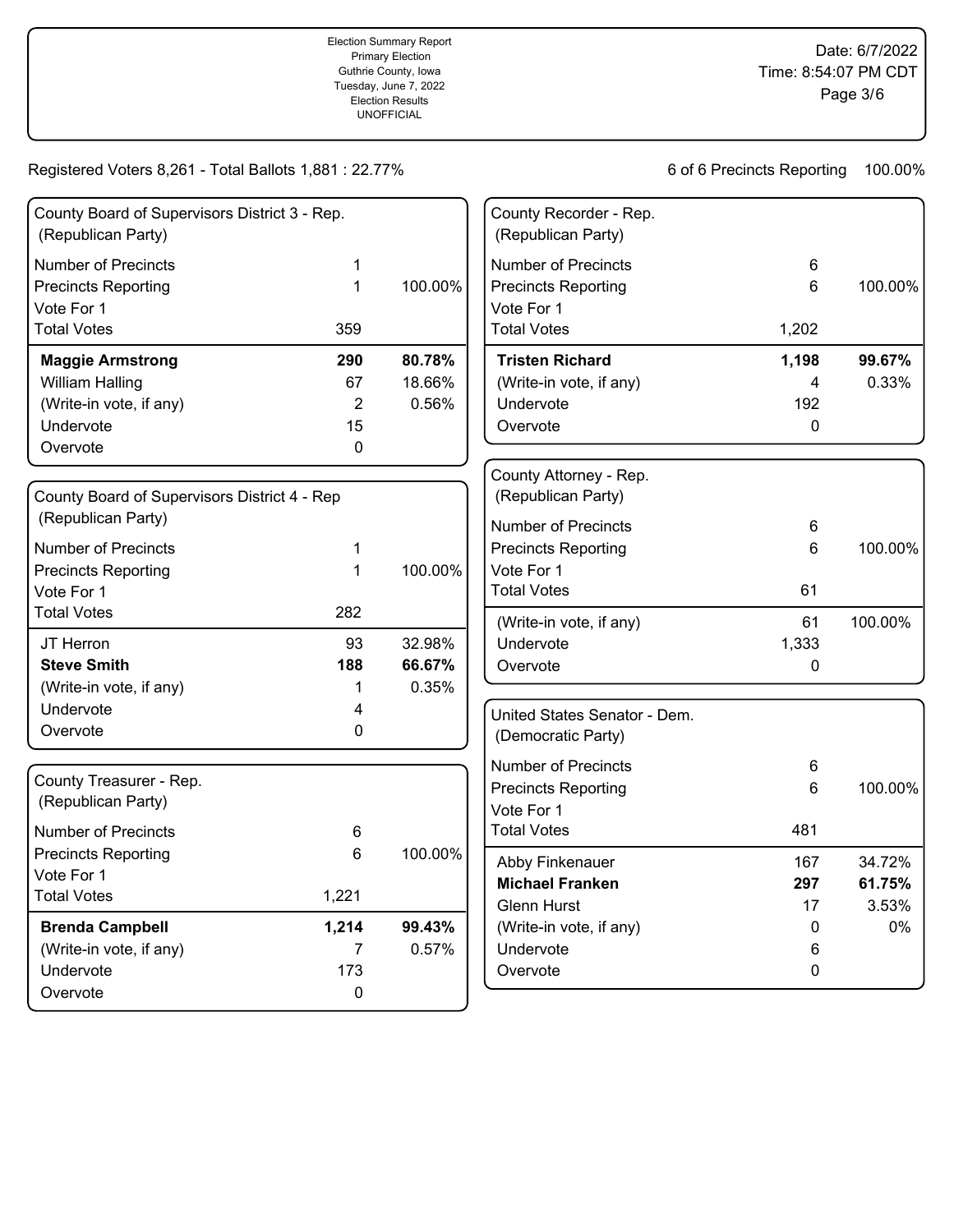| County Board of Supervisors District 3 - Rep.<br>(Republican Party) |     |         |
|---------------------------------------------------------------------|-----|---------|
| Number of Precincts                                                 | 1   |         |
| <b>Precincts Reporting</b>                                          | 1   | 100.00% |
| Vote For 1                                                          |     |         |
| <b>Total Votes</b>                                                  | 359 |         |
| <b>Maggie Armstrong</b>                                             | 290 | 80.78%  |
| William Halling                                                     | 67  | 18.66%  |
| (Write-in vote, if any)                                             | 2   | 0.56%   |
| Undervote                                                           | 15  |         |
| Overvote                                                            | 0   |         |

| County Board of Supervisors District 4 - Rep<br>(Republican Party) |     |         |
|--------------------------------------------------------------------|-----|---------|
| Number of Precincts                                                | 1   |         |
| <b>Precincts Reporting</b>                                         | 1   | 100.00% |
| Vote For 1                                                         |     |         |
| <b>Total Votes</b>                                                 | 282 |         |
| JT Herron                                                          | 93  | 32.98%  |
| <b>Steve Smith</b>                                                 | 188 | 66.67%  |
| (Write-in vote, if any)                                            | 1   | 0.35%   |
| Undervote                                                          | 4   |         |
| Overvote                                                           | U   |         |

| County Treasurer - Rep.<br>(Republican Party) |       |         |
|-----------------------------------------------|-------|---------|
| Number of Precincts                           | 6     |         |
| <b>Precincts Reporting</b>                    | 6     | 100.00% |
| Vote For 1                                    |       |         |
| <b>Total Votes</b>                            | 1,221 |         |
| <b>Brenda Campbell</b>                        | 1,214 | 99.43%  |
| (Write-in vote, if any)                       |       | 0.57%   |
| Undervote                                     | 173   |         |
| Overvote                                      | 0     |         |
|                                               |       |         |

| County Recorder - Rep.<br>(Republican Party) |       |          |
|----------------------------------------------|-------|----------|
| Number of Precincts                          | 6     |          |
| <b>Precincts Reporting</b>                   | 6     | 100.00%  |
| Vote For 1                                   |       |          |
| <b>Total Votes</b>                           | 1,202 |          |
| <b>Tristen Richard</b>                       | 1,198 | 99.67%   |
| (Write-in vote, if any)                      | 4     | $0.33\%$ |
| Undervote                                    | 192   |          |
| Overvote                                     | O     |          |
|                                              |       |          |
| County Attorney - Rep.<br>(Republican Party) |       |          |
| Number of Precincts                          | 6     |          |

| Number of Precincts        | 6     |         |
|----------------------------|-------|---------|
| <b>Precincts Reporting</b> | 6     | 100.00% |
| Vote For 1                 |       |         |
| Total Votes                | 61    |         |
| (Write-in vote, if any)    | 61    | 100.00% |
| Undervote                  | 1,333 |         |
| Overvote                   | 0     |         |
|                            |       |         |

| United States Senator - Dem.<br>(Democratic Party) |     |         |
|----------------------------------------------------|-----|---------|
| Number of Precincts                                | 6   |         |
| Precincts Reporting                                | 6   | 100.00% |
| Vote For 1                                         |     |         |
| Total Votes                                        | 481 |         |
| Abby Finkenauer                                    | 167 | 34.72%  |
| <b>Michael Franken</b>                             | 297 | 61.75%  |
| Glenn Hurst                                        | 17  | 3.53%   |
| (Write-in vote, if any)                            | 0   | $0\%$   |
| Undervote                                          | 6   |         |
| Overvote                                           | O   |         |
|                                                    |     |         |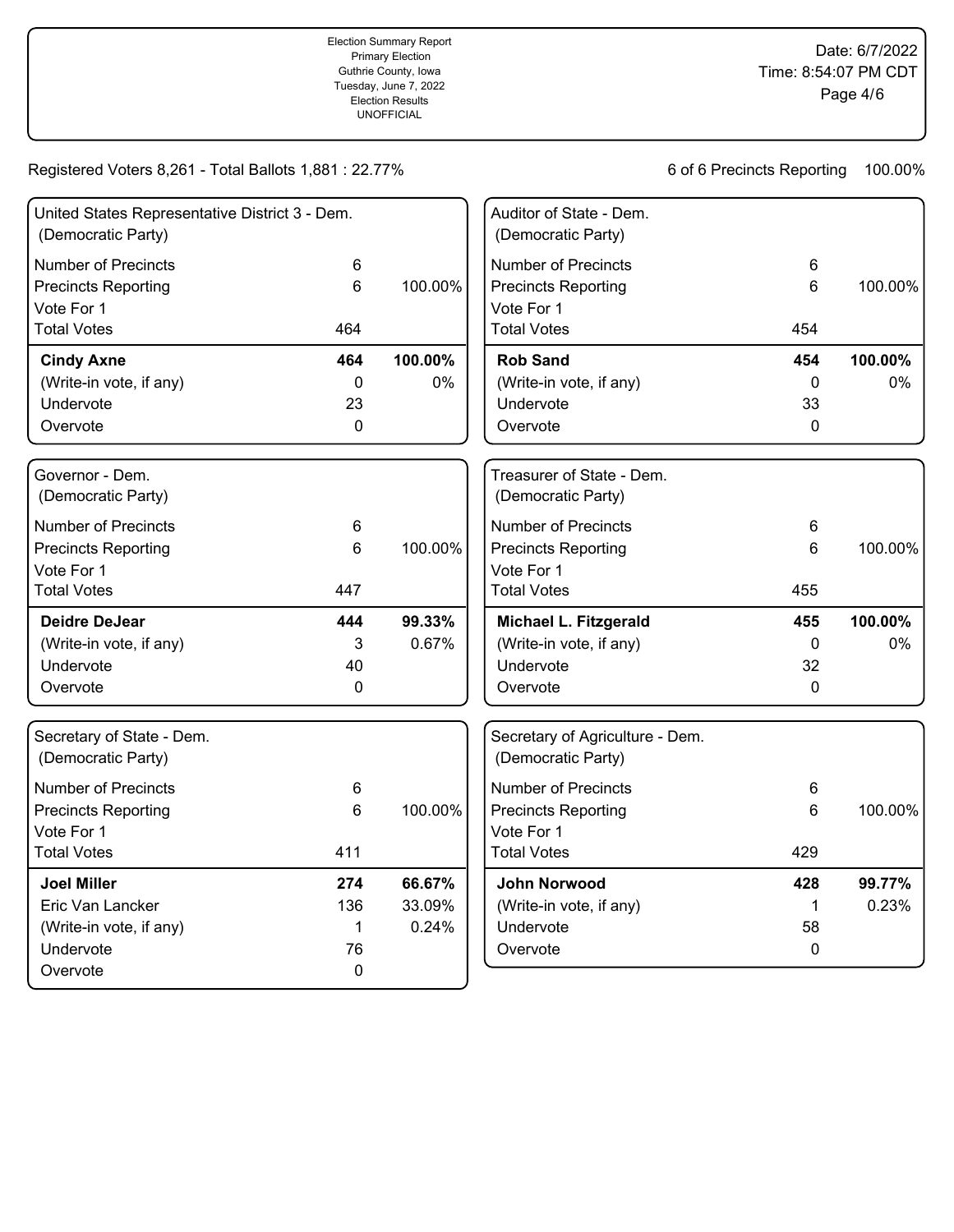| United States Representative District 3 - Dem.<br>(Democratic Party)   |             |         | Auditor of State - Dem.<br>(Democratic Party)                          |              |         |
|------------------------------------------------------------------------|-------------|---------|------------------------------------------------------------------------|--------------|---------|
| <b>Number of Precincts</b><br><b>Precincts Reporting</b><br>Vote For 1 | 6<br>6      | 100.00% | <b>Number of Precincts</b><br><b>Precincts Reporting</b><br>Vote For 1 | 6<br>6       | 100.00% |
| <b>Total Votes</b>                                                     | 464         |         | <b>Total Votes</b>                                                     | 454          |         |
| <b>Cindy Axne</b>                                                      | 464         | 100.00% | <b>Rob Sand</b>                                                        | 454          | 100.00% |
| (Write-in vote, if any)                                                | $\mathbf 0$ | 0%      | (Write-in vote, if any)                                                | $\mathbf 0$  | 0%      |
| Undervote                                                              | 23          |         | Undervote                                                              | 33           |         |
| Overvote                                                               | $\mathbf 0$ |         | Overvote                                                               | $\mathbf 0$  |         |
| Governor - Dem.<br>(Democratic Party)                                  |             |         | Treasurer of State - Dem.<br>(Democratic Party)                        |              |         |
| <b>Number of Precincts</b>                                             | 6           |         | <b>Number of Precincts</b>                                             | 6            |         |
| <b>Precincts Reporting</b>                                             | 6           | 100.00% | <b>Precincts Reporting</b>                                             | 6            | 100.00% |
| Vote For 1                                                             |             |         | Vote For 1                                                             |              |         |
| <b>Total Votes</b>                                                     | 447         |         | <b>Total Votes</b>                                                     | 455          |         |
| <b>Deidre DeJear</b>                                                   | 444         | 99.33%  | Michael L. Fitzgerald                                                  | 455          | 100.00% |
| (Write-in vote, if any)                                                | 3           | 0.67%   | (Write-in vote, if any)                                                | 0            | 0%      |
| Undervote                                                              | 40          |         | Undervote                                                              | 32           |         |
| Overvote                                                               | $\mathbf 0$ |         | Overvote                                                               | $\mathbf{0}$ |         |
| Secretary of State - Dem.<br>(Democratic Party)                        |             |         | Secretary of Agriculture - Dem.<br>(Democratic Party)                  |              |         |
| <b>Number of Precincts</b>                                             | 6           |         | <b>Number of Precincts</b>                                             | 6            |         |
| <b>Precincts Reporting</b>                                             | 6           | 100.00% | <b>Precincts Reporting</b>                                             | 6            | 100.00% |
| Vote For 1                                                             |             |         | Vote For 1                                                             |              |         |
| <b>Total Votes</b>                                                     | 411         |         | <b>Total Votes</b>                                                     | 429          |         |
| <b>Joel Miller</b>                                                     | 274         | 66.67%  | <b>John Norwood</b>                                                    | 428          | 99.77%  |
| Eric Van Lancker                                                       | 136         | 33.09%  | (Write-in vote, if any)                                                | $\mathbf 1$  | 0.23%   |
| (Write-in vote, if any)                                                | 1           | 0.24%   | Undervote                                                              | 58           |         |
| Undervote                                                              | 76          |         | Overvote                                                               | $\pmb{0}$    |         |
| Overvote                                                               | 0           |         |                                                                        |              |         |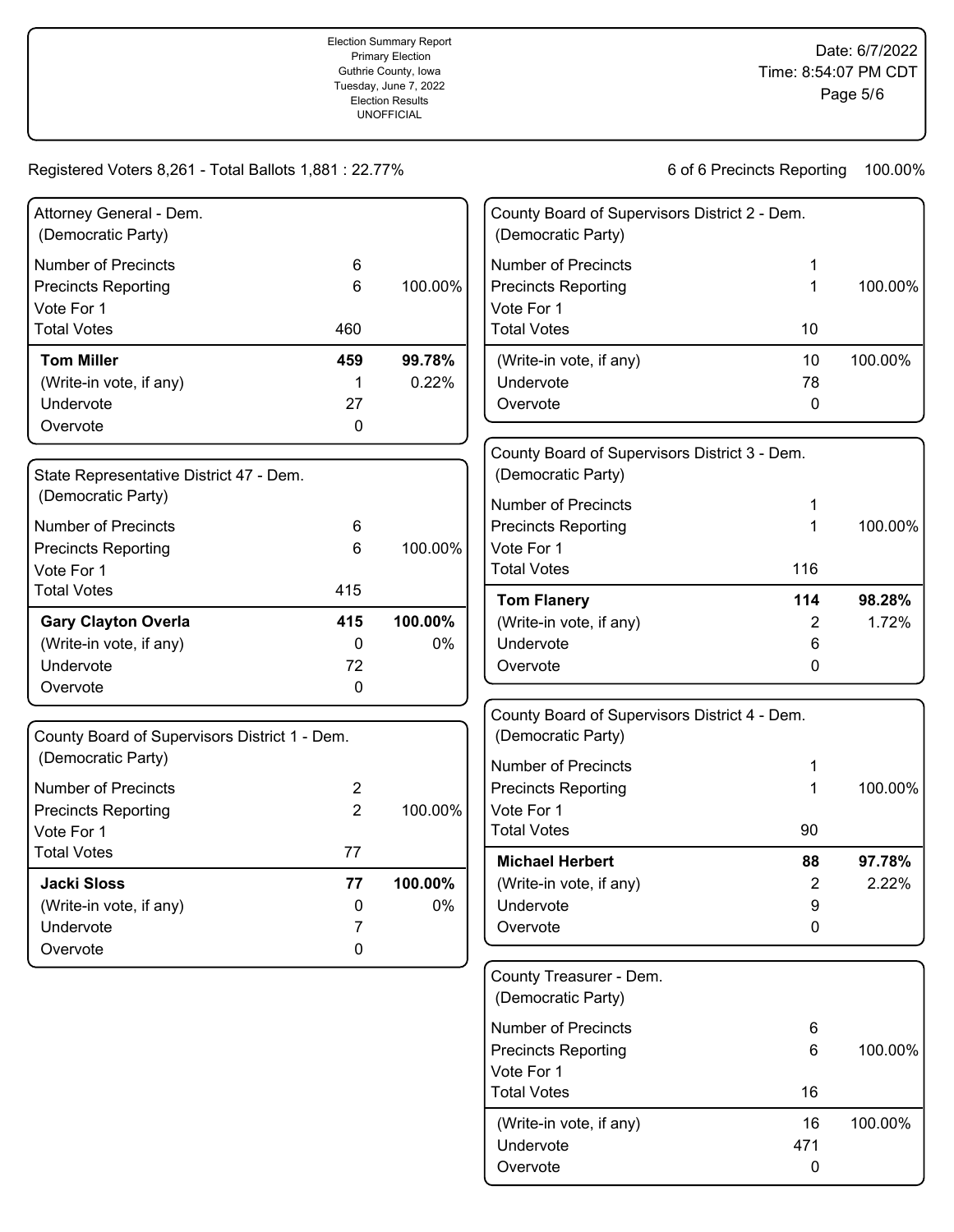| Attorney General - Dem.<br>(Democratic Party) |                |         | County Board of Supervisors District 2 - Dem.<br>(Democratic Party) |     |         |
|-----------------------------------------------|----------------|---------|---------------------------------------------------------------------|-----|---------|
| <b>Number of Precincts</b>                    | 6              |         | <b>Number of Precincts</b>                                          | 1   |         |
| <b>Precincts Reporting</b>                    | 6              | 100.00% | <b>Precincts Reporting</b>                                          | 1   | 100.00% |
| Vote For 1                                    |                |         | Vote For 1                                                          |     |         |
| <b>Total Votes</b>                            | 460            |         | <b>Total Votes</b>                                                  | 10  |         |
| <b>Tom Miller</b>                             | 459            | 99.78%  | (Write-in vote, if any)                                             | 10  | 100.00% |
| (Write-in vote, if any)                       | 1              | 0.22%   | Undervote                                                           | 78  |         |
| Undervote                                     | 27             |         | Overvote                                                            | 0   |         |
| Overvote                                      | 0              |         |                                                                     |     |         |
|                                               |                |         | County Board of Supervisors District 3 - Dem.                       |     |         |
| State Representative District 47 - Dem.       |                |         | (Democratic Party)                                                  |     |         |
| (Democratic Party)                            |                |         | <b>Number of Precincts</b>                                          | 1   |         |
| <b>Number of Precincts</b>                    | 6              |         | <b>Precincts Reporting</b>                                          | 1   | 100.00% |
| <b>Precincts Reporting</b>                    | 6              | 100.00% | Vote For 1                                                          |     |         |
| Vote For 1                                    |                |         | <b>Total Votes</b>                                                  | 116 |         |
| <b>Total Votes</b>                            | 415            |         | <b>Tom Flanery</b>                                                  | 114 | 98.28%  |
| <b>Gary Clayton Overla</b>                    | 415            | 100.00% | (Write-in vote, if any)                                             | 2   | 1.72%   |
| (Write-in vote, if any)                       | 0              | 0%      | Undervote                                                           | 6   |         |
| Undervote                                     | 72             |         | Overvote                                                            | 0   |         |
| Overvote                                      | 0              |         |                                                                     |     |         |
|                                               |                |         | County Board of Supervisors District 4 - Dem.                       |     |         |
| County Board of Supervisors District 1 - Dem. |                |         | (Democratic Party)                                                  |     |         |
| (Democratic Party)                            |                |         | <b>Number of Precincts</b>                                          | 1   |         |
| <b>Number of Precincts</b>                    | 2              |         | <b>Precincts Reporting</b>                                          | 1   | 100.00% |
| <b>Precincts Reporting</b>                    | $\overline{2}$ | 100.00% | Vote For 1                                                          |     |         |
| Vote For 1                                    |                |         | <b>Total Votes</b>                                                  | 90  |         |
| <b>Total Votes</b>                            | 77             |         | <b>Michael Herbert</b>                                              | 88  | 97.78%  |
| <b>Jacki Sloss</b>                            | 77             | 100.00% | (Write-in vote, if any)                                             | 2   | 2.22%   |
| (Write-in vote, if any)                       | 0              | 0%      | Undervote                                                           | 9   |         |
| Undervote                                     |                |         | Overvote                                                            | 0   |         |
| Overvote                                      | 0              |         |                                                                     |     |         |
|                                               |                |         | County Treasurer - Dem.                                             |     |         |
|                                               |                |         | (Democratic Party)                                                  |     |         |
|                                               |                |         | <b>Number of Precincts</b>                                          | 6   |         |
|                                               |                |         | <b>Precincts Reporting</b>                                          | 6   | 100.00% |
|                                               |                |         | Vote For 1                                                          |     |         |
|                                               |                |         | <b>Total Votes</b>                                                  | 16  |         |
|                                               |                |         | (Write-in vote, if any)                                             | 16  | 100.00% |
|                                               |                |         | Undervote                                                           | 471 |         |

Overvote 0